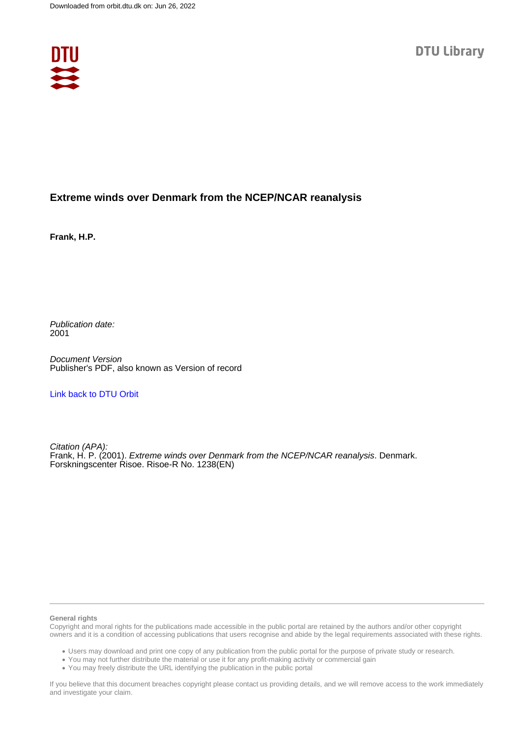

### **Extreme winds over Denmark from the NCEP/NCAR reanalysis**

**Frank, H.P.**

Publication date: 2001

Document Version Publisher's PDF, also known as Version of record

[Link back to DTU Orbit](https://orbit.dtu.dk/en/publications/a8ac2673-84a2-4420-9e3f-86abf7695c2f)

Citation (APA): Frank, H. P. (2001). *Extreme winds over Denmark from the NCEP/NCAR reanalysis*. Denmark. Forskningscenter Risoe. Risoe-R No. 1238(EN)

#### **General rights**

Copyright and moral rights for the publications made accessible in the public portal are retained by the authors and/or other copyright owners and it is a condition of accessing publications that users recognise and abide by the legal requirements associated with these rights.

Users may download and print one copy of any publication from the public portal for the purpose of private study or research.

- You may not further distribute the material or use it for any profit-making activity or commercial gain
- You may freely distribute the URL identifying the publication in the public portal

If you believe that this document breaches copyright please contact us providing details, and we will remove access to the work immediately and investigate your claim.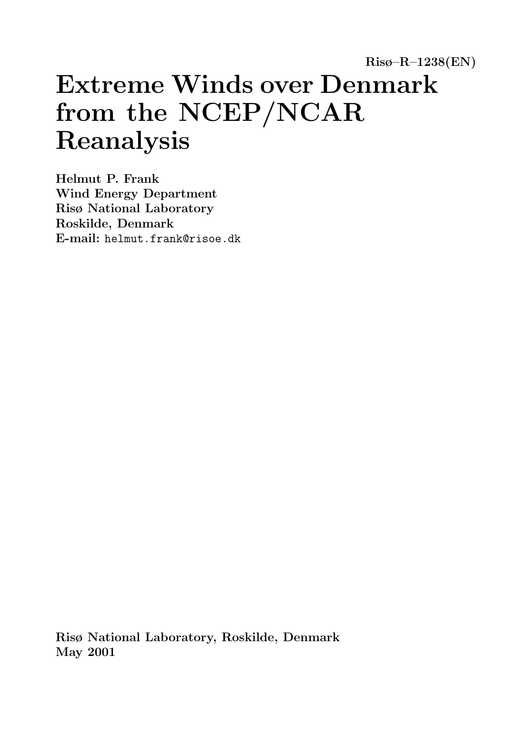Risø–R–1238(EN)

# Extreme Winds over Denmark from the NCEP/NCAR Reanalysis

Helmut P. Frank Wind Energy Department Risø National Laboratory Roskilde, Denmark E-mail: helmut.frank@risoe.dk

Risø National Laboratory, Roskilde, Denmark May 2001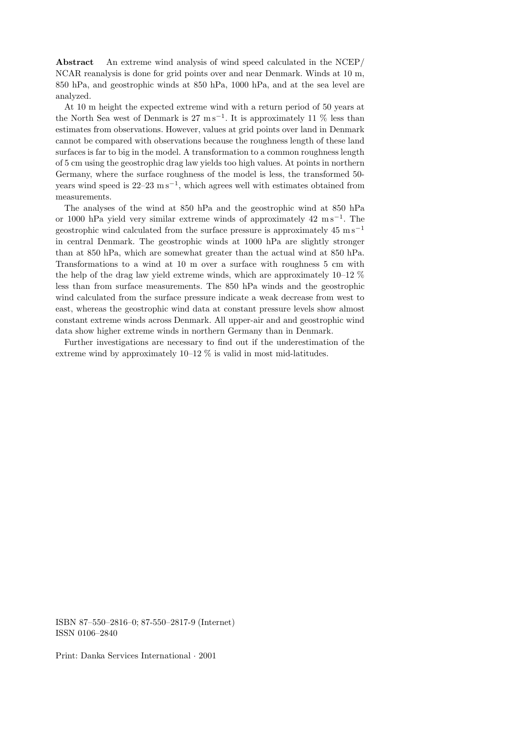Abstract An extreme wind analysis of wind speed calculated in the NCEP/ NCAR reanalysis is done for grid points over and near Denmark. Winds at 10 m, 850 hPa, and geostrophic winds at 850 hPa, 1000 hPa, and at the sea level are analyzed.

At 10 m height the expected extreme wind with a return period of 50 years at the North Sea west of Denmark is  $27 \text{ m s}^{-1}$ . It is approximately 11 % less than estimates from observations. However, values at grid points over land in Denmark cannot be compared with observations because the roughness length of these land surfaces is far to big in the model. A transformation to a common roughness length of 5 cm using the geostrophic drag law yields too high values. At points in northern Germany, where the surface roughness of the model is less, the transformed 50 years wind speed is  $22-23 \text{ m s}^{-1}$ , which agrees well with estimates obtained from measurements.

The analyses of the wind at 850 hPa and the geostrophic wind at 850 hPa or 1000 hPa yield very similar extreme winds of approximately 42 m s<sup>-1</sup>. The geostrophic wind calculated from the surface pressure is approximately  $45 \text{ ms}^{-1}$ in central Denmark. The geostrophic winds at 1000 hPa are slightly stronger than at 850 hPa, which are somewhat greater than the actual wind at 850 hPa. Transformations to a wind at 10 m over a surface with roughness 5 cm with the help of the drag law yield extreme winds, which are approximately 10–12 % less than from surface measurements. The 850 hPa winds and the geostrophic wind calculated from the surface pressure indicate a weak decrease from west to east, whereas the geostrophic wind data at constant pressure levels show almost constant extreme winds across Denmark. All upper-air and and geostrophic wind data show higher extreme winds in northern Germany than in Denmark.

Further investigations are necessary to find out if the underestimation of the extreme wind by approximately  $10-12$  % is valid in most mid-latitudes.

ISBN 87–550–2816–0; 87-550–2817-9 (Internet) ISSN 0106–2840

Print: Danka Services International · 2001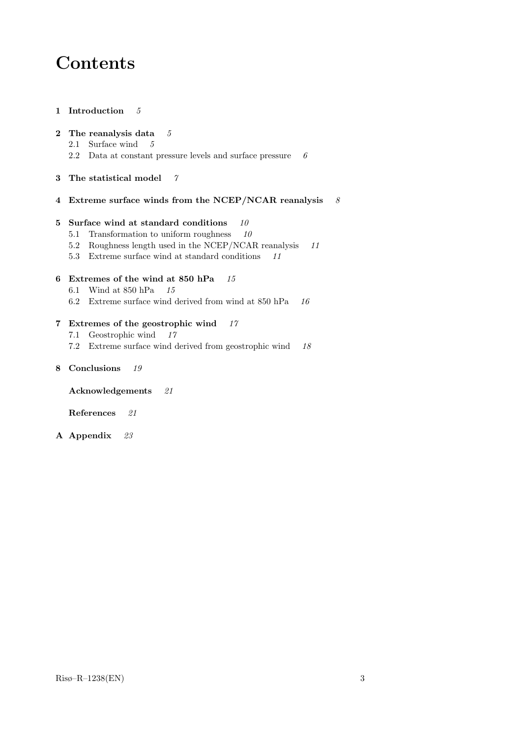# Contents

1 Introduction 5

#### 2 The reanalysis data  $5$

- 2.1 Surface wind 5
- 2.2 Data at constant pressure levels and surface pressure  $\boldsymbol{6}$
- 3 The statistical model 7
- 4 Extreme surface winds from the NCEP/NCAR reanalysis  $8$

#### 5 Surface wind at standard conditions  $10$

- 5.1 Transformation to uniform roughness  $10$
- 5.2 Roughness length used in the NCEP/NCAR reanalysis 11
- 5.3 Extreme surface wind at standard conditions 11

#### 6 Extremes of the wind at 850 hPa 15

- 6.1 Wind at 850 hPa 15
- 6.2 Extreme surface wind derived from wind at  $850$  hPa  $16$

#### 7 Extremes of the geostrophic wind 17

- 7.1 Geostrophic wind 17
- 7.2 Extreme surface wind derived from geostrophic wind 18
- 8 Conclusions 19

Acknowledgements 21

References 21

A Appendix 23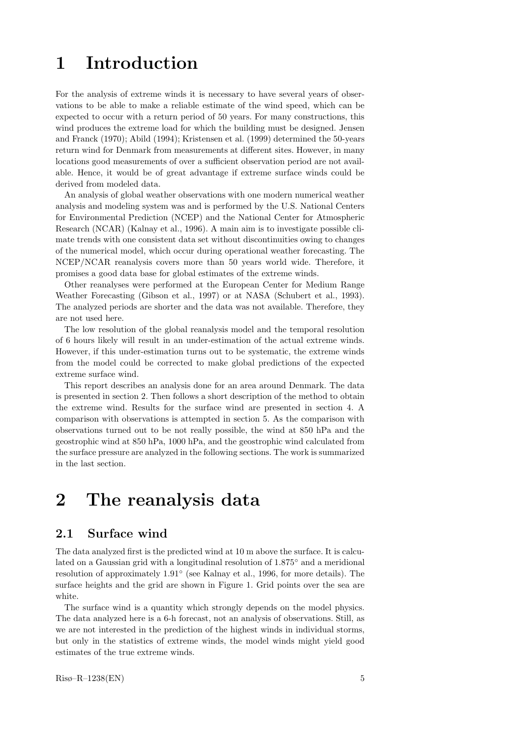# 1 Introduction

For the analysis of extreme winds it is necessary to have several years of observations to be able to make a reliable estimate of the wind speed, which can be expected to occur with a return period of 50 years. For many constructions, this wind produces the extreme load for which the building must be designed. Jensen and Franck (1970); Abild (1994); Kristensen et al. (1999) determined the 50-years return wind for Denmark from measurements at different sites. However, in many locations good measurements of over a sufficient observation period are not available. Hence, it would be of great advantage if extreme surface winds could be derived from modeled data.

An analysis of global weather observations with one modern numerical weather analysis and modeling system was and is performed by the U.S. National Centers for Environmental Prediction (NCEP) and the National Center for Atmospheric Research (NCAR) (Kalnay et al., 1996). A main aim is to investigate possible climate trends with one consistent data set without discontinuities owing to changes of the numerical model, which occur during operational weather forecasting. The NCEP/NCAR reanalysis covers more than 50 years world wide. Therefore, it promises a good data base for global estimates of the extreme winds.

Other reanalyses were performed at the European Center for Medium Range Weather Forecasting (Gibson et al., 1997) or at NASA (Schubert et al., 1993). The analyzed periods are shorter and the data was not available. Therefore, they are not used here.

The low resolution of the global reanalysis model and the temporal resolution of 6 hours likely will result in an under-estimation of the actual extreme winds. However, if this under-estimation turns out to be systematic, the extreme winds from the model could be corrected to make global predictions of the expected extreme surface wind.

This report describes an analysis done for an area around Denmark. The data is presented in section 2. Then follows a short description of the method to obtain the extreme wind. Results for the surface wind are presented in section 4. A comparison with observations is attempted in section 5. As the comparison with observations turned out to be not really possible, the wind at 850 hPa and the geostrophic wind at 850 hPa, 1000 hPa, and the geostrophic wind calculated from the surface pressure are analyzed in the following sections. The work is summarized in the last section.

# 2 The reanalysis data

#### 2.1 Surface wind

The data analyzed first is the predicted wind at 10 m above the surface. It is calculated on a Gaussian grid with a longitudinal resolution of 1.875◦ and a meridional resolution of approximately 1.91◦ (see Kalnay et al., 1996, for more details). The surface heights and the grid are shown in Figure 1. Grid points over the sea are white.

The surface wind is a quantity which strongly depends on the model physics. The data analyzed here is a 6-h forecast, not an analysis of observations. Still, as we are not interested in the prediction of the highest winds in individual storms, but only in the statistics of extreme winds, the model winds might yield good estimates of the true extreme winds.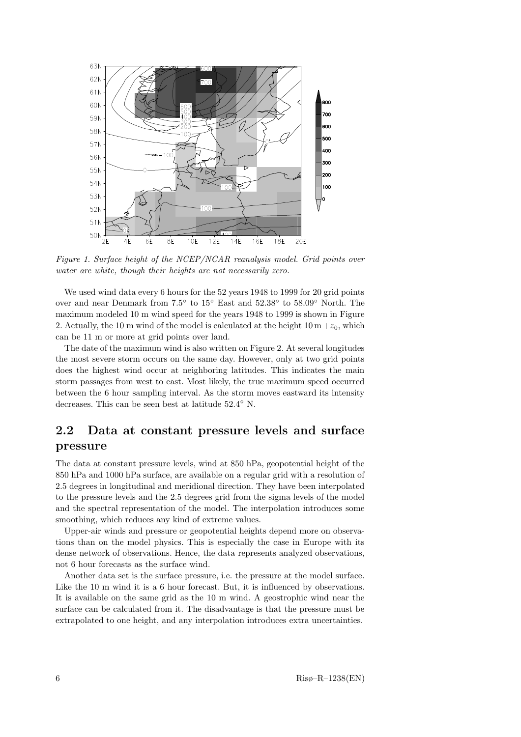

Figure 1. Surface height of the NCEP/NCAR reanalysis model. Grid points over water are white, though their heights are not necessarily zero.

We used wind data every 6 hours for the 52 years 1948 to 1999 for 20 grid points over and near Denmark from 7.5 ◦ to 15◦ East and 52.38◦ to 58.09◦ North. The maximum modeled 10 m wind speed for the years 1948 to 1999 is shown in Figure 2. Actually, the 10 m wind of the model is calculated at the height  $10 \,\mathrm{m} + z_0$ , which can be 11 m or more at grid points over land.

The date of the maximum wind is also written on Figure 2. At several longitudes the most severe storm occurs on the same day. However, only at two grid points does the highest wind occur at neighboring latitudes. This indicates the main storm passages from west to east. Most likely, the true maximum speed occurred between the 6 hour sampling interval. As the storm moves eastward its intensity decreases. This can be seen best at latitude  $52.4^{\circ}$  N.

### 2.2 Data at constant pressure levels and surface pressure

The data at constant pressure levels, wind at 850 hPa, geopotential height of the 850 hPa and 1000 hPa surface, are available on a regular grid with a resolution of 2.5 degrees in longitudinal and meridional direction. They have been interpolated to the pressure levels and the 2.5 degrees grid from the sigma levels of the model and the spectral representation of the model. The interpolation introduces some smoothing, which reduces any kind of extreme values.

Upper-air winds and pressure or geopotential heights depend more on observations than on the model physics. This is especially the case in Europe with its dense network of observations. Hence, the data represents analyzed observations, not 6 hour forecasts as the surface wind.

Another data set is the surface pressure, i.e. the pressure at the model surface. Like the 10 m wind it is a 6 hour forecast. But, it is influenced by observations. It is available on the same grid as the 10 m wind. A geostrophic wind near the surface can be calculated from it. The disadvantage is that the pressure must be extrapolated to one height, and any interpolation introduces extra uncertainties.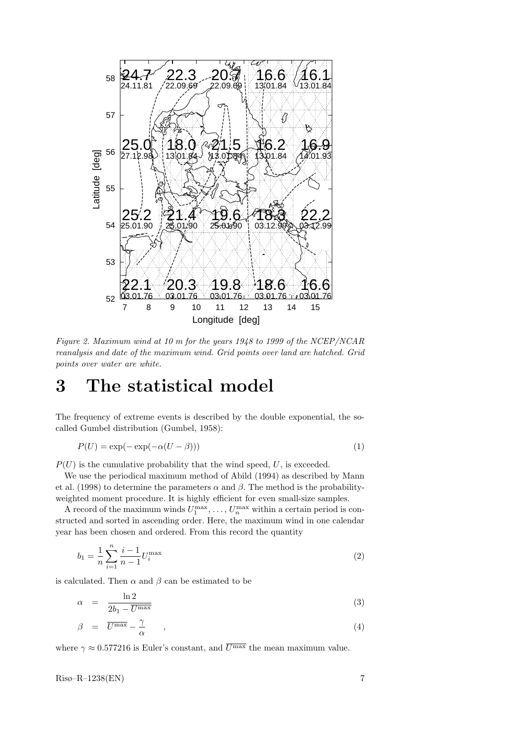

Figure 2. Maximum wind at 10 m for the years 1948 to 1999 of the NCEP/NCAR reanalysis and date of the maximum wind. Grid points over land are hatched. Grid points over water are white.

## 3 The statistical model

The frequency of extreme events is described by the double exponential, the socalled Gumbel distribution (Gumbel, 1958):

$$
P(U) = \exp(-\exp(-\alpha(U-\beta)))\tag{1}
$$

 $P(U)$  is the cumulative probability that the wind speed, U, is exceeded.

We use the periodical maximum method of Abild (1994) as described by Mann et al. (1998) to determine the parameters  $\alpha$  and  $\beta$ . The method is the probabilityweighted moment procedure. It is highly efficient for even small-size samples.

A record of the maximum winds  $U_1^{\max}, \ldots, U_n^{\max}$  within a certain period is constructed and sorted in ascending order. Here, the maximum wind in one calendar year has been chosen and ordered. From this record the quantity

$$
b_1 = \frac{1}{n} \sum_{i=1}^{n} \frac{i-1}{n-1} U_i^{\max} \tag{2}
$$

is calculated. Then  $\alpha$  and  $\beta$  can be estimated to be

$$
\alpha = \frac{\ln 2}{2b_1 - \overline{U^{\max}}} \tag{3}
$$

$$
\beta = \overline{U^{\max}} - \frac{\gamma}{\alpha} \qquad , \tag{4}
$$

where  $\gamma \approx 0.577216$  is Euler's constant, and  $\overline{U^{\max}}$  the mean maximum value.

 $Ris\phi$ – $R$ –1238(EN) 7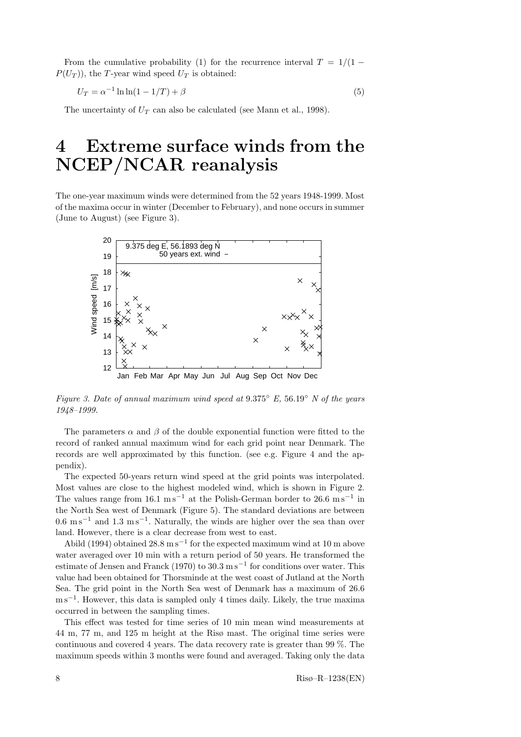From the cumulative probability (1) for the recurrence interval  $T = 1/(1 P(U_T)$ , the T-year wind speed  $U_T$  is obtained:

$$
U_T = \alpha^{-1} \ln \ln(1 - 1/T) + \beta \tag{5}
$$

The uncertainty of  $U_T$  can also be calculated (see Mann et al., 1998).

## 4 Extreme surface winds from the NCEP/NCAR reanalysis

The one-year maximum winds were determined from the 52 years 1948-1999. Most of the maxima occur in winter (December to February), and none occurs in summer  $(\text{June to August})$  (see Figure 3).



Figure 3. Date of annual maximum wind speed at  $9.375°$  E,  $56.19°$  N of the years 1948–1999.

The parameters  $\alpha$  and  $\beta$  of the double exponential function were fitted to the record of ranked annual maximum wind for each grid point near Denmark. The records are well approximated by this function. (see e.g. Figure 4 and the appendix).

The expected 50-years return wind speed at the grid points was interpolated. Most values are close to the highest modeled wind, which is shown in Figure 2. The values range from  $16.1 \text{ m s}^{-1}$  at the Polish-German border to  $26.6 \text{ m s}^{-1}$  in the North Sea west of Denmark (Figure 5). The standard deviations are between  $0.6 \text{ m s}^{-1}$  and  $1.3 \text{ m s}^{-1}$ . Naturally, the winds are higher over the sea than over land. However, there is a clear decrease from west to east.

Abild (1994) obtained  $28.8 \text{ m s}^{-1}$  for the expected maximum wind at 10 m above water averaged over 10 min with a return period of 50 years. He transformed the estimate of Jensen and Franck (1970) to  $30.3 \text{ m s}^{-1}$  for conditions over water. This value had been obtained for Thorsminde at the west coast of Jutland at the North Sea. The grid point in the North Sea west of Denmark has a maximum of 26.6 m s<sup>-1</sup>. However, this data is sampled only 4 times daily. Likely, the true maxima occurred in between the sampling times.

This effect was tested for time series of 10 min mean wind measurements at 44 m, 77 m, and 125 m height at the Risø mast. The original time series were continuous and covered 4 years. The data recovery rate is greater than 99 %. The maximum speeds within 3 months were found and averaged. Taking only the data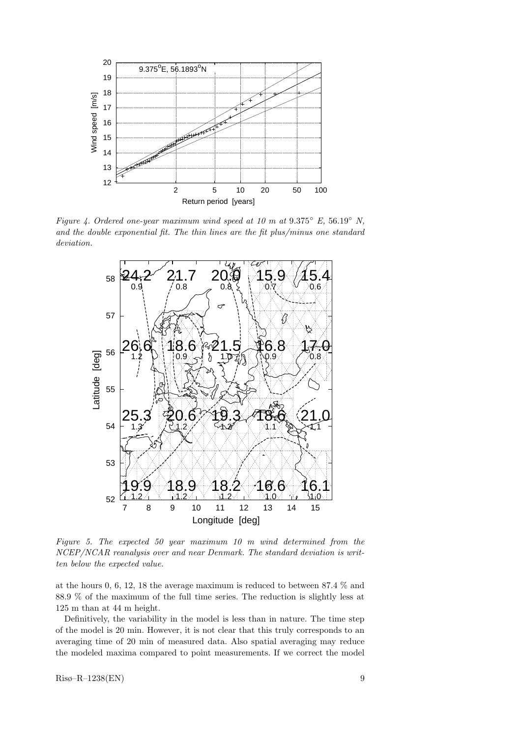

Figure 4. Ordered one-year maximum wind speed at 10 m at  $9.375^{\circ}$  E,  $56.19^{\circ}$  N, and the double exponential fit. The thin lines are the fit plus/minus one standard deviation.  $\frac{1}{\sqrt{2}}$  and  $\frac{1}{\sqrt{2}}$  to 1999 to 1999 to 1999 to 1999 to 1999 to 1999 to 1999 to 1999 to 1999 to 1999 to 1999 to 1999 to 1999 to 1999 to 1999 to 1999 to 1999 to 1999 to 1999 to 1999 to 1999 to 1999 to 1999 to 1999



Figure 5. The expected 50 year maximum 10 m wind determined from the NCEP/NCAR reanalysis over and near Denmark. The standard deviation is written below the expected value.

at the hours 0, 6, 12, 18 the average maximum is reduced to between 87.4 % and 88.9 % of the maximum of the full time series. The reduction is slightly less at 125 m than at 44 m height.

Definitively, the variability in the model is less than in nature. The time step of the model is 20 min. However, it is not clear that this truly corresponds to an averaging time of 20 min of measured data. Also spatial averaging may reduce the modeled maxima compared to point measurements. If we correct the model

Risø–R–1238(EN) 9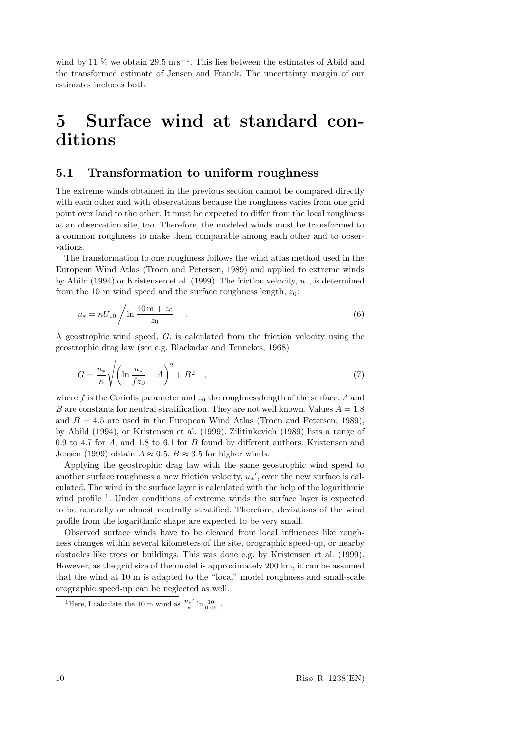wind by 11 % we obtain  $29.5 \text{ m s}^{-1}$ . This lies between the estimates of Abild and the transformed estimate of Jensen and Franck. The uncertainty margin of our estimates includes both.

# 5 Surface wind at standard conditions

### 5.1 Transformation to uniform roughness

The extreme winds obtained in the previous section cannot be compared directly with each other and with observations because the roughness varies from one grid point over land to the other. It must be expected to differ from the local roughness at an observation site, too. Therefore, the modeled winds must be transformed to a common roughness to make them comparable among each other and to observations.

The transformation to one roughness follows the wind atlas method used in the European Wind Atlas (Troen and Petersen, 1989) and applied to extreme winds by Abild (1994) or Kristensen et al. (1999). The friction velocity,  $u_*$ , is determined from the 10 m wind speed and the surface roughness length,  $z_0$ :

$$
u_* = \kappa U_{10} / \ln \frac{10 \,\mathrm{m} + z_0}{z_0} \quad . \tag{6}
$$

A geostrophic wind speed,  $G$ , is calculated from the friction velocity using the geostrophic drag law (see e.g. Blackadar and Tennekes, 1968)

$$
G = \frac{u_*}{\kappa} \sqrt{\left(\ln \frac{u_*}{fz_0} - A\right)^2 + B^2} \quad , \tag{7}
$$

where f is the Coriolis parameter and  $z_0$  the roughness length of the surface. A and B are constants for neutral stratification. They are not well known. Values  $A = 1.8$ and  $B = 4.5$  are used in the European Wind Atlas (Troen and Petersen, 1989), by Abild (1994), or Kristensen et al. (1999). Zilitinkevich (1989) lists a range of 0.9 to 4.7 for  $A$ , and 1.8 to 6.1 for  $B$  found by different authors. Kristensen and Jensen (1999) obtain  $A \approx 0.5$ ,  $B \approx 3.5$  for higher winds.

Applying the geostrophic drag law with the same geostrophic wind speed to another surface roughness a new friction velocity,  $u_*'$ , over the new surface is calculated. The wind in the surface layer is calculated with the help of the logarithmic wind profile<sup>1</sup>. Under conditions of extreme winds the surface layer is expected to be neutrally or almost neutrally stratified. Therefore, deviations of the wind profile from the logarithmic shape are expected to be very small.

Observed surface winds have to be cleaned from local influences like roughness changes within several kilometers of the site, orographic speed-up, or nearby obstacles like trees or buildings. This was done e.g. by Kristensen et al. (1999). However, as the grid size of the model is approximately 200 km, it can be assumed that the wind at 10 m is adapted to the "local" model roughness and small-scale orographic speed-up can be neglected as well.

<sup>&</sup>lt;sup>1</sup>Here, I calculate the 10 m wind as  $\frac{u_{*}}{k}$  $\frac{k^{'}k}{\kappa} \ln \frac{10}{0.05}$ .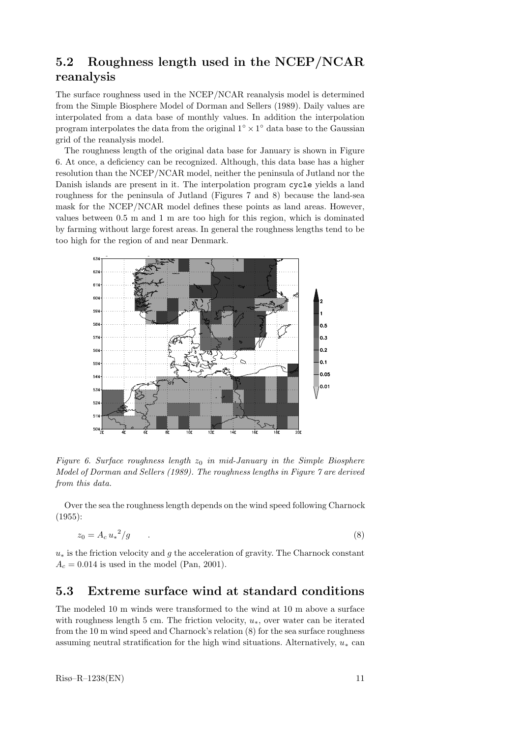### 5.2 Roughness length used in the NCEP/NCAR reanalysis

The surface roughness used in the NCEP/NCAR reanalysis model is determined from the Simple Biosphere Model of Dorman and Sellers (1989). Daily values are interpolated from a data base of monthly values. In addition the interpolation program interpolates the data from the original  $1^{\circ} \times 1^{\circ}$  data base to the Gaussian grid of the reanalysis model.

The roughness length of the original data base for January is shown in Figure 6. At once, a deficiency can be recognized. Although, this data base has a higher resolution than the NCEP/NCAR model, neither the peninsula of Jutland nor the Danish islands are present in it. The interpolation program cycle yields a land roughness for the peninsula of Jutland (Figures 7 and 8) because the land-sea mask for the NCEP/NCAR model defines these points as land areas. However, values between 0.5 m and 1 m are too high for this region, which is dominated by farming without large forest areas. In general the roughness lengths tend to be too high for the region of and near Denmark.



Figure 6. Surface roughness length  $z_0$  in mid-January in the Simple Biosphere Model of Dorman and Sellers (1989). The roughness lengths in Figure 7 are derived from this data.

Over the sea the roughness length depends on the wind speed following Charnock (1955):

$$
z_0 = A_c u_*^2 / g \tag{8}
$$

 $u_*$  is the friction velocity and g the acceleration of gravity. The Charnock constant  $A_c = 0.014$  is used in the model (Pan, 2001).

### 5.3 Extreme surface wind at standard conditions

The modeled 10 m winds were transformed to the wind at 10 m above a surface with roughness length 5 cm. The friction velocity,  $u_*$ , over water can be iterated from the 10 m wind speed and Charnock's relation (8) for the sea surface roughness assuming neutral stratification for the high wind situations. Alternatively,  $u_*$  can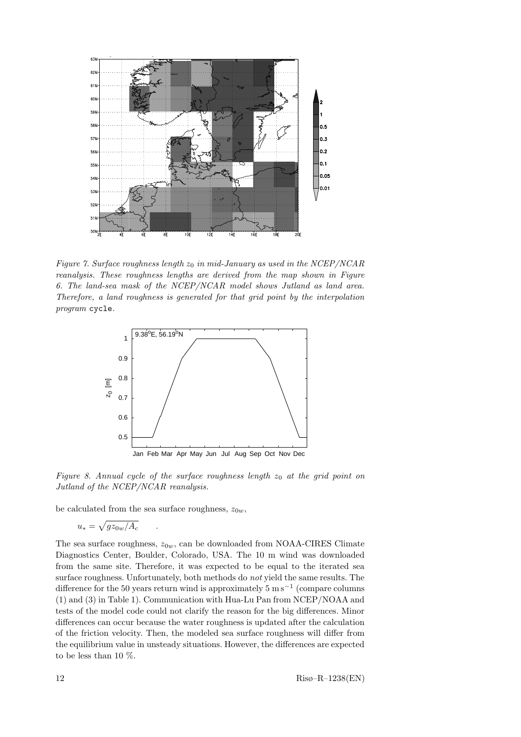

Figure 7. Surface roughness length  $z_0$  in mid-January as used in the NCEP/NCAR reanalysis. These roughness lengths are derived from the map shown in Figure 6. The land-sea mask of the NCEP/NCAR model shows Jutland as land area. Therefore, a land roughness is generated for that grid point by the interpolation program cycle.



Figure 8. Annual cycle of the surface roughness length  $z_0$  at the grid point on Jutland of the NCEP/NCAR reanalysis.

be calculated from the sea surface roughness,  $z_{0w}$ ,

$$
u_* = \sqrt{gz_{0w}/A_c} \qquad .
$$

The sea surface roughness,  $z_{0w}$ , can be downloaded from NOAA-CIRES Climate Diagnostics Center, Boulder, Colorado, USA. The 10 m wind was downloaded from the same site. Therefore, it was expected to be equal to the iterated sea surface roughness. Unfortunately, both methods do not yield the same results. The difference for the 50 years return wind is approximately  $5 \text{ m s}^{-1}$  (compare columns (1) and (3) in Table 1). Communication with Hua-Lu Pan from NCEP/NOAA and tests of the model code could not clarify the reason for the big differences. Minor differences can occur because the water roughness is updated after the calculation of the friction velocity. Then, the modeled sea surface roughness will differ from the equilibrium value in unsteady situations. However, the differences are expected to be less than 10 %.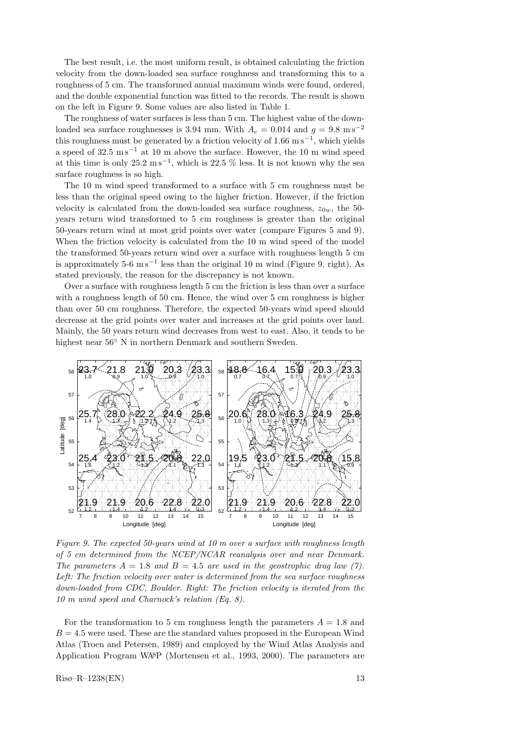The best result, i.e. the most uniform result, is obtained calculating the friction velocity from the down-loaded sea surface roughness and transforming this to a roughness of 5 cm. The transformed annual maximum winds were found, ordered, and the double exponential function was fitted to the records. The result is shown on the left in Figure 9. Some values are also listed in Table 1.

The roughness of water surfaces is less than 5 cm. The highest value of the downloaded sea surface roughnesses is 3.94 mm. With  $A_c = 0.014$  and  $g = 9.8$  ms<sup>-2</sup> this roughness must be generated by a friction velocity of  $1.66 \text{ m s}^{-1}$ , which yields a speed of  $32.5 \text{ m s}^{-1}$  at 10 m above the surface. However, the 10 m wind speed at this time is only  $25.2 \text{ m s}^{-1}$ , which is  $22.5 \%$  less. It is not known why the sea surface roughness is so high.

The 10 m wind speed transformed to a surface with 5 cm roughness must be less than the original speed owing to the higher friction. However, if the friction velocity is calculated from the down-loaded sea surface roughness,  $z_{0w}$ , the 50years return wind transformed to 5 cm roughness is greater than the original 50-years return wind at most grid points over water (compare Figures 5 and 9). When the friction velocity is calculated from the 10 m wind speed of the model the transformed 50-years return wind over a surface with roughness length 5 cm is approximately  $5{\text -}6~{\text m\,s}^{-1}$  less than the original 10 m wind (Figure 9, right). As stated previously, the reason for the discrepancy is not known.

Over a surface with roughness length 5 cm the friction is less than over a surface with a roughness length of 50 cm. Hence, the wind over 5 cm roughness is higher than over 50 cm roughness. Therefore, the expected 50-years wind speed should decrease at the grid points over water and increases at the grid points over land. Mainly, the 50 years return wind decreases from west to east. Also, it tends to be highest near  $56^\circ$  N in northern Denmark and southern Sweden.



Figure 9. The expected 50-years wind at 10 m over a surface with roughness length of 5 cm determined from the NCEP/NCAR reanalysis over and near Denmark. The parameters  $A = 1.8$  and  $B = 4.5$  are used in the geostrophic drag law (7). Left: The friction velocity over water is determined from the sea surface roughness down-loaded from CDC, Boulder. Right: The friction velocity is iterated from the 10 m wind speed and Charnock's relation (Eq. 8).

For the transformation to 5 cm roughness length the parameters  $A = 1.8$  and  $B = 4.5$  were used. These are the standard values proposed in the European Wind Atlas (Troen and Petersen, 1989) and employed by the Wind Atlas Analysis and Application Program WAsP (Mortensen et al., 1993, 2000). The parameters are

 $Ris\varphi-R-1238(EN)$  13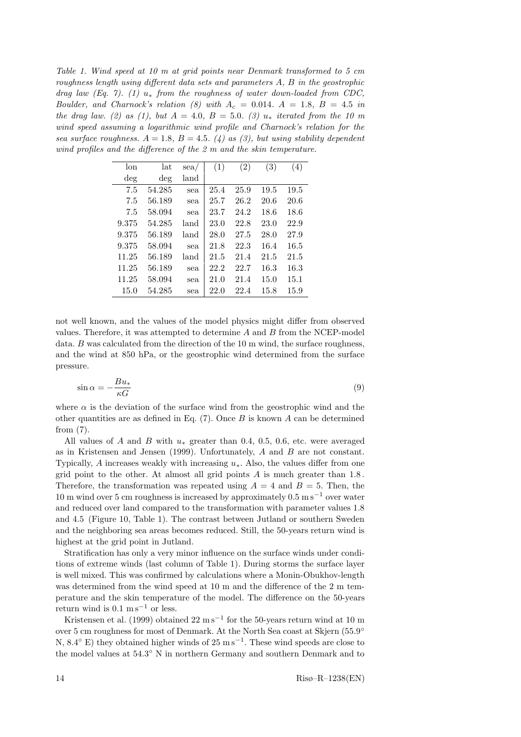Table 1. Wind speed at 10 m at grid points near Denmark transformed to 5 cm roughness length using different data sets and parameters A, B in the geostrophic drag law (Eq. 7). (1)  $u_*$  from the roughness of water down-loaded from CDC, Boulder, and Charnock's relation (8) with  $A_c = 0.014$ .  $A = 1.8$ ,  $B = 4.5$  in the drag law. (2) as (1), but  $A = 4.0$ ,  $B = 5.0$ . (3)  $u_*$  iterated from the 10 m wind speed assuming a logarithmic wind profile and Charnock's relation for the sea surface roughness.  $A = 1.8$ ,  $B = 4.5$ . (4) as (3), but using stability dependent wind profiles and the difference of the 2 m and the skin temperature.

| lon    | lat    | $\text{sea}/$ | (1)  | $\left( 2\right)$ | (3)  | (4)  |
|--------|--------|---------------|------|-------------------|------|------|
| $\deg$ | $\deg$ | land          |      |                   |      |      |
| 7.5    | 54.285 | sea           | 25.4 | 25.9              | 19.5 | 19.5 |
| 7.5    | 56.189 | sea           | 25.7 | 26.2              | 20.6 | 20.6 |
| 7.5    | 58.094 | sea           | 23.7 | 24.2              | 18.6 | 18.6 |
| 9.375  | 54.285 | land          | 23.0 | 22.8              | 23.0 | 22.9 |
| 9.375  | 56.189 | land          | 28.0 | 27.5              | 28.0 | 27.9 |
| 9.375  | 58.094 | sea           | 21.8 | 22.3              | 16.4 | 16.5 |
| 11.25  | 56.189 | land          | 21.5 | 21.4              | 21.5 | 21.5 |
| 11.25  | 56.189 | sea           | 22.2 | 22.7              | 16.3 | 16.3 |
| 11.25  | 58.094 | sea           | 21.0 | 21.4              | 15.0 | 15.1 |
| 15.0   | 54.285 | sea           | 22.0 | 22.4              | 15.8 | 15.9 |

not well known, and the values of the model physics might differ from observed values. Therefore, it was attempted to determine  $A$  and  $B$  from the NCEP-model data.  $B$  was calculated from the direction of the 10 m wind, the surface roughness, and the wind at 850 hPa, or the geostrophic wind determined from the surface pressure.

$$
\sin \alpha = -\frac{Bu_*}{\kappa G} \tag{9}
$$

where  $\alpha$  is the deviation of the surface wind from the geostrophic wind and the other quantities are as defined in Eq.  $(7)$ . Once B is known A can be determined from (7).

All values of A and B with  $u_*$  greater than 0.4, 0.5, 0.6, etc. were averaged as in Kristensen and Jensen (1999). Unfortunately,  $A$  and  $B$  are not constant. Typically, A increases weakly with increasing  $u_*$ . Also, the values differ from one grid point to the other. At almost all grid points  $A$  is much greater than 1.8. Therefore, the transformation was repeated using  $A = 4$  and  $B = 5$ . Then, the 10 m wind over 5 cm roughness is increased by approximately  $0.5 \text{ m s}^{-1}$  over water and reduced over land compared to the transformation with parameter values 1.8 and 4.5 (Figure 10, Table 1). The contrast between Jutland or southern Sweden and the neighboring sea areas becomes reduced. Still, the 50-years return wind is highest at the grid point in Jutland.

Stratification has only a very minor influence on the surface winds under conditions of extreme winds (last column of Table 1). During storms the surface layer is well mixed. This was confirmed by calculations where a Monin-Obukhov-length was determined from the wind speed at 10 m and the difference of the 2 m temperature and the skin temperature of the model. The difference on the 50-years return wind is  $0.1 \text{ m s}^{-1}$  or less.

Kristensen et al. (1999) obtained  $22 \text{ m s}^{-1}$  for the 50-years return wind at 10 m over 5 cm roughness for most of Denmark. At the North Sea coast at Skjern (55.9° N,  $8.4^{\circ}$  E) they obtained higher winds of  $25 \text{ m s}^{-1}$ . These wind speeds are close to the model values at  $54.3^{\circ}$  N in northern Germany and southern Denmark and to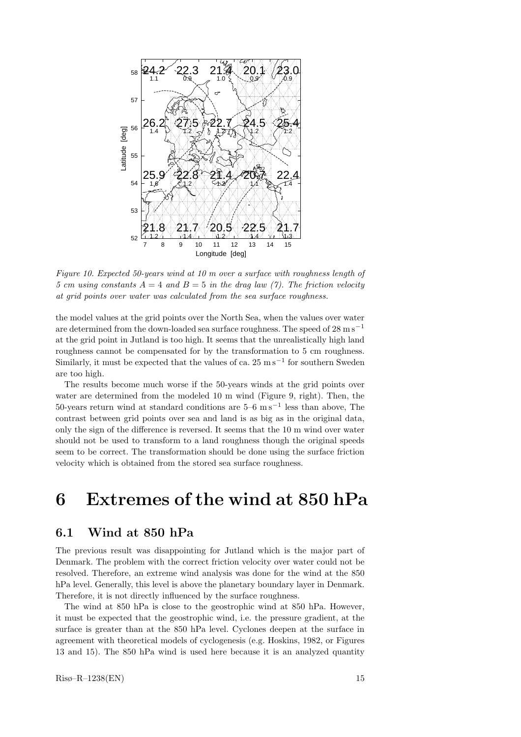

Figure 10. Expected 50-years wind at 10 m over a surface with roughness length of 5 cm using constants  $A = 4$  and  $B = 5$  in the drag law (7). The friction velocity at grid points over water was calculated from the sea surface roughness.

the model values at the grid points over the North Sea, when the values over water are determined from the down-loaded sea surface roughness. The speed of  $28 \text{ m s}^{-1}$ at the grid point in Jutland is too high. It seems that the unrealistically high land roughness cannot be compensated for by the transformation to 5 cm roughness. Similarly, it must be expected that the values of ca.  $25 \text{ m s}^{-1}$  for southern Sweden are too high.

The results become much worse if the 50-years winds at the grid points over water are determined from the modeled 10 m wind (Figure 9, right). Then, the 50-years return wind at standard conditions are  $5-6$  ms<sup> $-1$ </sup> less than above, The contrast between grid points over sea and land is as big as in the original data, only the sign of the difference is reversed. It seems that the 10 m wind over water should not be used to transform to a land roughness though the original speeds seem to be correct. The transformation should be done using the surface friction velocity which is obtained from the stored sea surface roughness.

## 6 Extremes of the wind at 850 hPa

### 6.1 Wind at 850 hPa

The previous result was disappointing for Jutland which is the major part of Denmark. The problem with the correct friction velocity over water could not be resolved. Therefore, an extreme wind analysis was done for the wind at the 850 hPa level. Generally, this level is above the planetary boundary layer in Denmark. Therefore, it is not directly influenced by the surface roughness.

The wind at 850 hPa is close to the geostrophic wind at 850 hPa. However, it must be expected that the geostrophic wind, i.e. the pressure gradient, at the surface is greater than at the 850 hPa level. Cyclones deepen at the surface in agreement with theoretical models of cyclogenesis (e.g. Hoskins, 1982, or Figures 13 and 15). The 850 hPa wind is used here because it is an analyzed quantity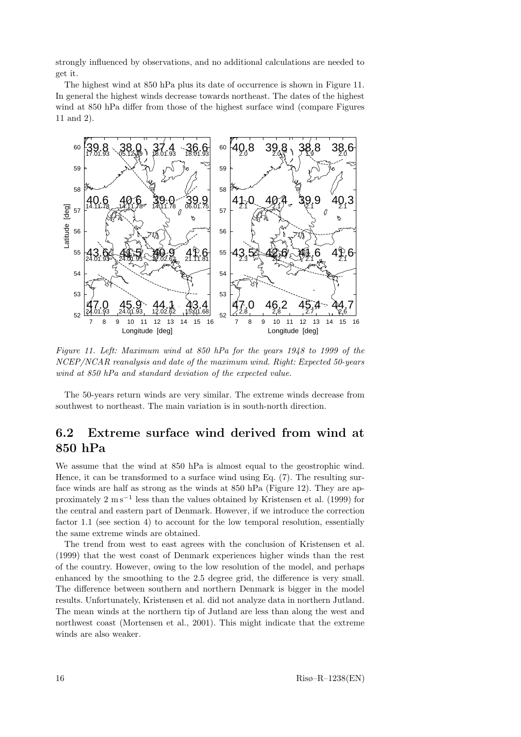strongly influenced by observations, and no additional calculations are needed to get it.

The highest wind at 850 hPa plus its date of occurrence is shown in Figure 11. In general the highest winds decrease towards northeast. The dates of the highest wind at 850 hPa differ from those of the highest surface wind (compare Figures  $11$  and  $2$ ).



Figure 11. Left: Maximum wind at 850 hPa for the years 1948 to 1999 of the NCEP/NCAR reanalysis and date of the maximum wind. Right: Expected 50-years wind at 850 hPa and standard deviation of the expected value.

The 50-years return winds are very similar. The extreme winds decrease from southwest to northeast. The main variation is in south-north direction.

### 6.2 Extreme surface wind derived from wind at 850 hPa

We assume that the wind at 850 hPa is almost equal to the geostrophic wind. Hence, it can be transformed to a surface wind using Eq. (7). The resulting surface winds are half as strong as the winds at 850 hPa (Figure 12). They are approximately 2 m s<sup>-1</sup> less than the values obtained by Kristensen et al. (1999) for the central and eastern part of Denmark. However, if we introduce the correction factor 1.1 (see section 4) to account for the low temporal resolution, essentially the same extreme winds are obtained.

The trend from west to east agrees with the conclusion of Kristensen et al. (1999) that the west coast of Denmark experiences higher winds than the rest of the country. However, owing to the low resolution of the model, and perhaps enhanced by the smoothing to the 2.5 degree grid, the difference is very small. The difference between southern and northern Denmark is bigger in the model results. Unfortunately, Kristensen et al. did not analyze data in northern Jutland. The mean winds at the northern tip of Jutland are less than along the west and northwest coast (Mortensen et al., 2001). This might indicate that the extreme winds are also weaker.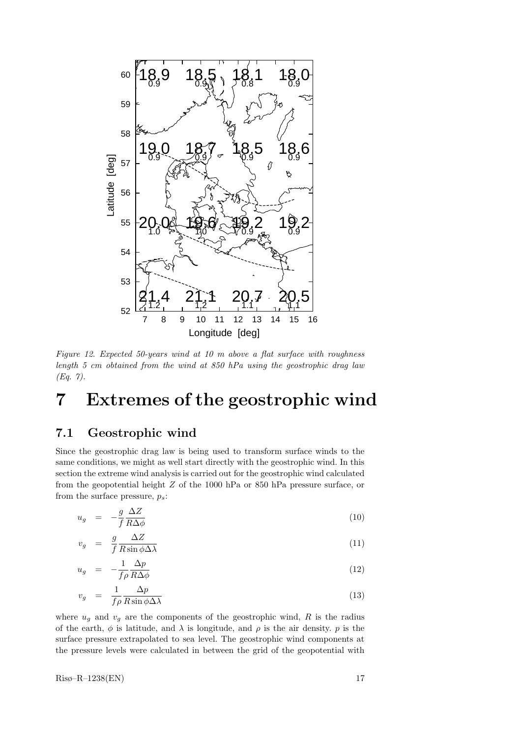

Figure 12. Expected 50-years wind at 10 m above a flat surface with roughness length 5 cm obtained from the wind at 850 hPa using the geostrophic drag law (Eq. 7).

# 7 Extremes of the geostrophic wind

### 7.1 Geostrophic wind

Since the geostrophic drag law is being used to transform surface winds to the same conditions, we might as well start directly with the geostrophic wind. In this section the extreme wind analysis is carried out for the geostrophic wind calculated from the geopotential height Z of the 1000 hPa or 850 hPa pressure surface, or from the surface pressure,  $p_s$ :

$$
u_g = -\frac{g}{f} \frac{\Delta Z}{R \Delta \phi} \tag{10}
$$

$$
v_g = \frac{g}{f} \frac{\Delta Z}{R \sin \phi \Delta \lambda} \tag{11}
$$

$$
u_g = -\frac{1}{f\rho} \frac{\Delta p}{R\Delta \phi} \tag{12}
$$

$$
v_g = \frac{1}{f\rho} \frac{\Delta p}{R \sin \phi \Delta \lambda} \tag{13}
$$

where  $u_q$  and  $v_q$  are the components of the geostrophic wind, R is the radius of the earth,  $\phi$  is latitude, and  $\lambda$  is longitude, and  $\rho$  is the air density. p is the surface pressure extrapolated to sea level. The geostrophic wind components at the pressure levels were calculated in between the grid of the geopotential with

 $\text{Ris}\n\phi-\text{R}-1238(\text{EN})$  17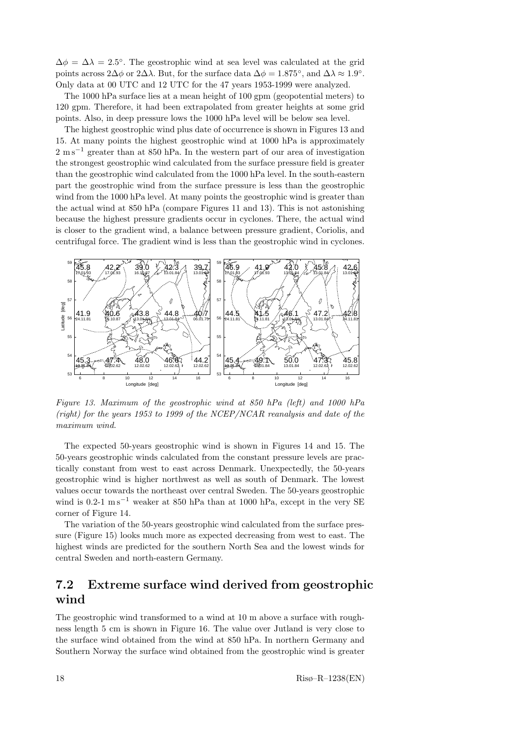$\Delta \phi = \Delta \lambda = 2.5^{\circ}$ . The geostrophic wind at sea level was calculated at the grid points across  $2\Delta\phi$  or  $2\Delta\lambda$ . But, for the surface data  $\Delta\phi = 1.875^{\circ}$ , and  $\Delta\lambda \approx 1.9^{\circ}$ . Only data at 00 UTC and 12 UTC for the 47 years 1953-1999 were analyzed.

The 1000 hPa surface lies at a mean height of 100 gpm (geopotential meters) to 120 gpm. Therefore, it had been extrapolated from greater heights at some grid points. Also, in deep pressure lows the 1000 hPa level will be below sea level.

The highest geostrophic wind plus date of occurrence is shown in Figures 13 and 15. At many points the highest geostrophic wind at 1000 hPa is approximately 2 m s<sup>-1</sup> greater than at 850 hPa. In the western part of our area of investigation the strongest geostrophic wind calculated from the surface pressure field is greater than the geostrophic wind calculated from the 1000 hPa level. In the south-eastern part the geostrophic wind from the surface pressure is less than the geostrophic wind from the 1000 hPa level. At many points the geostrophic wind is greater than the actual wind at 850 hPa (compare Figures 11 and 13). This is not astonishing because the highest pressure gradients occur in cyclones. There, the actual wind is closer to the gradient wind, a balance between pressure gradient, Coriolis, and centrifugal force. The gradient wind is less than the geostrophic wind in cyclones.



Figure 13. Maximum of the geostrophic wind at 850 hPa (left) and 1000 hPa (right) for the years 1953 to 1999 of the NCEP/NCAR reanalysis and date of the maximum wind.

The expected 50-years geostrophic wind is shown in Figures 14 and 15. The 50-years geostrophic winds calculated from the constant pressure levels are practically constant from west to east across Denmark. Unexpectedly, the 50-years geostrophic wind is higher northwest as well as south of Denmark. The lowest values occur towards the northeast over central Sweden. The 50-years geostrophic wind is 0.2-1  $\text{m s}^{-1}$  weaker at 850 hPa than at 1000 hPa, except in the very SE corner of Figure 14.

The variation of the 50-years geostrophic wind calculated from the surface pressure (Figure 15) looks much more as expected decreasing from west to east. The highest winds are predicted for the southern North Sea and the lowest winds for central Sweden and north-eastern Germany.

### 7.2 Extreme surface wind derived from geostrophic wind

The geostrophic wind transformed to a wind at 10 m above a surface with roughness length 5 cm is shown in Figure 16. The value over Jutland is very close to the surface wind obtained from the wind at 850 hPa. In northern Germany and Southern Norway the surface wind obtained from the geostrophic wind is greater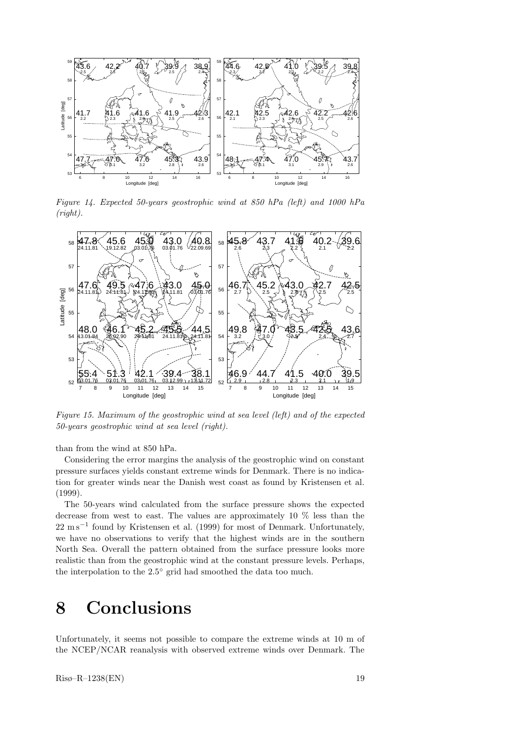

Figure 14. Expected 50-years geostrophic wind at 850 hPa (left) and 1000 hPa (right).  $v^{\alpha}$ 



Figure 15. Maximum of the geostrophic wind at sea level (left) and of the expected 50-years geostrophic wind at sea level (right).

than from the wind at 850 hPa.

Considering the error margins the analysis of the geostrophic wind on constant pressure surfaces yields constant extreme winds for Denmark. There is no indication for greater winds near the Danish west coast as found by Kristensen et al. (1999).

The 50-years wind calculated from the surface pressure shows the expected decrease from west to east. The values are approximately 10 % less than the 22 m s<sup>-1</sup> found by Kristensen et al. (1999) for most of Denmark. Unfortunately, we have no observations to verify that the highest winds are in the southern North Sea. Overall the pattern obtained from the surface pressure looks more realistic than from the geostrophic wind at the constant pressure levels. Perhaps, the interpolation to the 2.5<sup>°</sup> grid had smoothed the data too much.

## 8 Conclusions

Unfortunately, it seems not possible to compare the extreme winds at 10 m of the NCEP/NCAR reanalysis with observed extreme winds over Denmark. The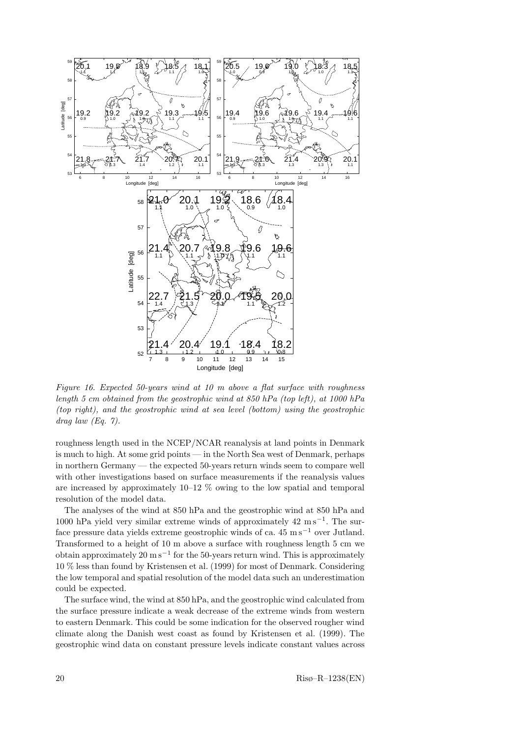

Figure 16. Expected 50-years wind at 10 m above a flat surface with roughness length 5 cm obtained from the geostrophic wind at 850 hPa (top left), at 1000 hPa (top right), and the geostrophic wind at sea level (bottom) using the geostrophic  $drag law (Eq. 7).$ 

roughness length used in the NCEP/NCAR reanalysis at land points in Denmark is much to high. At some grid points — in the North Sea west of Denmark, perhaps in northern Germany — the expected 50-years return winds seem to compare well with other investigations based on surface measurements if the reanalysis values are increased by approximately  $10-12$  % owing to the low spatial and temporal resolution of the model data.

The analyses of the wind at 850 hPa and the geostrophic wind at 850 hPa and 1000 hPa yield very similar extreme winds of approximately  $42 \text{ m s}^{-1}$ . The surface pressure data yields extreme geostrophic winds of ca.  $45 \text{ ms}^{-1}$  over Jutland. Transformed to a height of 10 m above a surface with roughness length 5 cm we obtain approximately  $20 \text{ m s}^{-1}$  for the 50-years return wind. This is approximately 10 % less than found by Kristensen et al. (1999) for most of Denmark. Considering the low temporal and spatial resolution of the model data such an underestimation could be expected.

The surface wind, the wind at 850 hPa, and the geostrophic wind calculated from the surface pressure indicate a weak decrease of the extreme winds from western to eastern Denmark. This could be some indication for the observed rougher wind climate along the Danish west coast as found by Kristensen et al. (1999). The geostrophic wind data on constant pressure levels indicate constant values across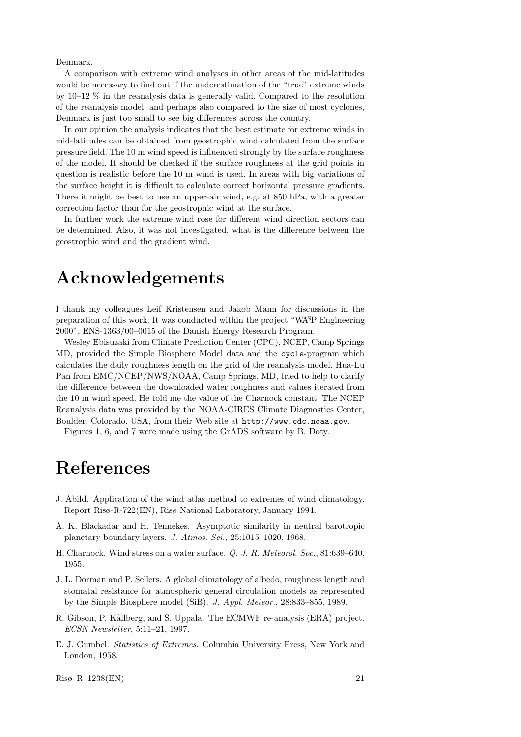Denmark.

A comparison with extreme wind analyses in other areas of the mid-latitudes would be necessary to find out if the underestimation of the "true" extreme winds by 10–12 % in the reanalysis data is generally valid. Compared to the resolution of the reanalysis model, and perhaps also compared to the size of most cyclones, Denmark is just too small to see big differences across the country.

In our opinion the analysis indicates that the best estimate for extreme winds in mid-latitudes can be obtained from geostrophic wind calculated from the surface pressure field. The 10 m wind speed is influenced strongly by the surface roughness of the model. It should be checked if the surface roughness at the grid points in question is realistic before the 10 m wind is used. In areas with big variations of the surface height it is difficult to calculate correct horizontal pressure gradients. There it might be best to use an upper-air wind, e.g. at 850 hPa, with a greater correction factor than for the geostrophic wind at the surface.

In further work the extreme wind rose for different wind direction sectors can be determined. Also, it was not investigated, what is the difference between the geostrophic wind and the gradient wind.

## Acknowledgements

I thank my colleagues Leif Kristensen and Jakob Mann for discussions in the preparation of this work. It was conducted within the project "WAsP Engineering 2000", ENS-1363/00–0015 of the Danish Energy Research Program.

Wesley Ebisuzaki from Climate Prediction Center (CPC), NCEP, Camp Springs MD, provided the Simple Biosphere Model data and the cycle-program which calculates the daily roughness length on the grid of the reanalysis model. Hua-Lu Pan from EMC/NCEP/NWS/NOAA, Camp Springs, MD, tried to help to clarify the difference between the downloaded water roughness and values iterated from the 10 m wind speed. He told me the value of the Charnock constant. The NCEP Reanalysis data was provided by the NOAA-CIRES Climate Diagnostics Center, Boulder, Colorado, USA, from their Web site at http://www.cdc.noaa.gov.

Figures 1, 6, and 7 were made using the GrADS software by B. Doty.

# References

- J. Abild. Application of the wind atlas method to extremes of wind climatology. Report Risø-R-722(EN), Risø National Laboratory, January 1994.
- A. K. Blackadar and H. Tennekes. Asymptotic similarity in neutral barotropic planetary boundary layers. J. Atmos. Sci., 25:1015–1020, 1968.
- H. Charnock. Wind stress on a water surface. Q. J. R. Meteorol. Soc., 81:639–640, 1955.
- J. L. Dorman and P. Sellers. A global climatology of albedo, roughness length and stomatal resistance for atmospheric general circulation models as represented by the Simple Biosphere model (SiB). J. Appl. Meteor., 28:833–855, 1989.
- R. Gibson, P. Kållberg, and S. Uppala. The ECMWF re-analysis (ERA) project. ECSN Newsletter, 5:11–21, 1997.
- E. J. Gumbel. Statistics of Extremes. Columbia University Press, New York and London, 1958.

 $Ris\phi$ – $R$ –1238(EN) 21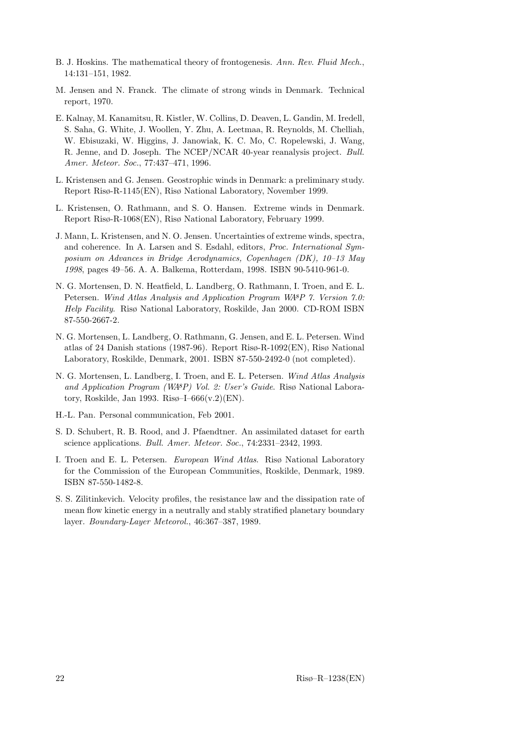- B. J. Hoskins. The mathematical theory of frontogenesis. Ann. Rev. Fluid Mech., 14:131–151, 1982.
- M. Jensen and N. Franck. The climate of strong winds in Denmark. Technical report, 1970.
- E. Kalnay, M. Kanamitsu, R. Kistler, W. Collins, D. Deaven, L. Gandin, M. Iredell, S. Saha, G. White, J. Woollen, Y. Zhu, A. Leetmaa, R. Reynolds, M. Chelliah, W. Ebisuzaki, W. Higgins, J. Janowiak, K. C. Mo, C. Ropelewski, J. Wang, R. Jenne, and D. Joseph. The NCEP/NCAR 40-year reanalysis project. Bull. Amer. Meteor. Soc., 77:437–471, 1996.
- L. Kristensen and G. Jensen. Geostrophic winds in Denmark: a preliminary study. Report Risø-R-1145(EN), Risø National Laboratory, November 1999.
- L. Kristensen, O. Rathmann, and S. O. Hansen. Extreme winds in Denmark. Report Risø-R-1068(EN), Risø National Laboratory, February 1999.
- J. Mann, L. Kristensen, and N. O. Jensen. Uncertainties of extreme winds, spectra, and coherence. In A. Larsen and S. Esdahl, editors, Proc. International Symposium on Advances in Bridge Aerodynamics, Copenhagen (DK), 10–13 May 1998, pages 49–56. A. A. Balkema, Rotterdam, 1998. ISBN 90-5410-961-0.
- N. G. Mortensen, D. N. Heatfield, L. Landberg, O. Rathmann, I. Troen, and E. L. Petersen. Wind Atlas Analysis and Application Program WAsP 7. Version 7.0: Help Facility. Risø National Laboratory, Roskilde, Jan 2000. CD-ROM ISBN 87-550-2667-2.
- N. G. Mortensen, L. Landberg, O. Rathmann, G. Jensen, and E. L. Petersen. Wind atlas of 24 Danish stations (1987-96). Report Risø-R-1092(EN), Risø National Laboratory, Roskilde, Denmark, 2001. ISBN 87-550-2492-0 (not completed).
- N. G. Mortensen, L. Landberg, I. Troen, and E. L. Petersen. Wind Atlas Analysis and Application Program (WAsP) Vol. 2: User's Guide. Risø National Laboratory, Roskilde, Jan 1993. Risø–I– $666(v.2)$ (EN).
- H.-L. Pan. Personal communication, Feb 2001.
- S. D. Schubert, R. B. Rood, and J. Pfaendtner. An assimilated dataset for earth science applications. Bull. Amer. Meteor. Soc., 74:2331–2342, 1993.
- I. Troen and E. L. Petersen. European Wind Atlas. Risø National Laboratory for the Commission of the European Communities, Roskilde, Denmark, 1989. ISBN 87-550-1482-8.
- S. S. Zilitinkevich. Velocity profiles, the resistance law and the dissipation rate of mean flow kinetic energy in a neutrally and stably stratified planetary boundary layer. Boundary-Layer Meteorol., 46:367–387, 1989.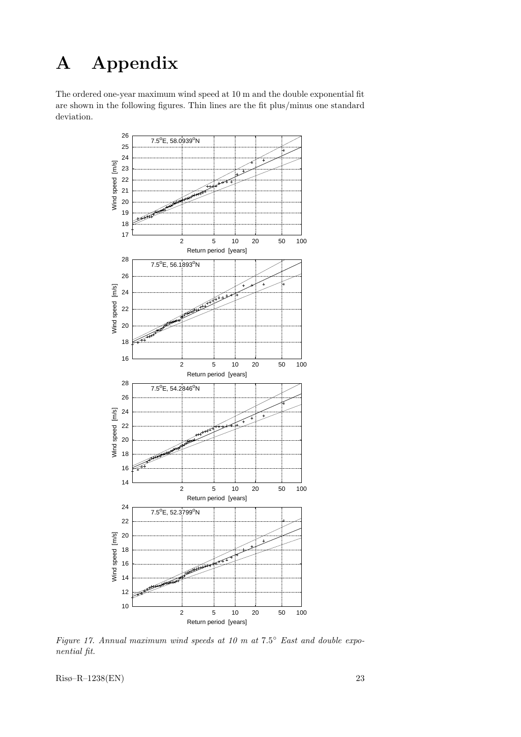# A Appendix

The ordered one-year maximum wind speed at 10 m and the double exponential fit are shown in the following figures. Thin lines are the fit plus/minus one standard deviation.



Figure 17. Annual maximum wind speeds at 10 m at  $7.5^{\circ}$  East and double exponential fit.

Risø–R–1238(EN) 23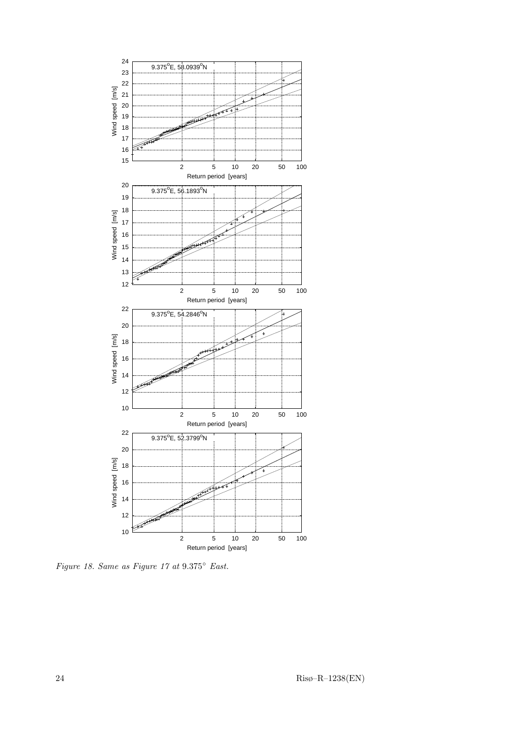

Figure 18. Same as Figure 17 at 9.375◦ East.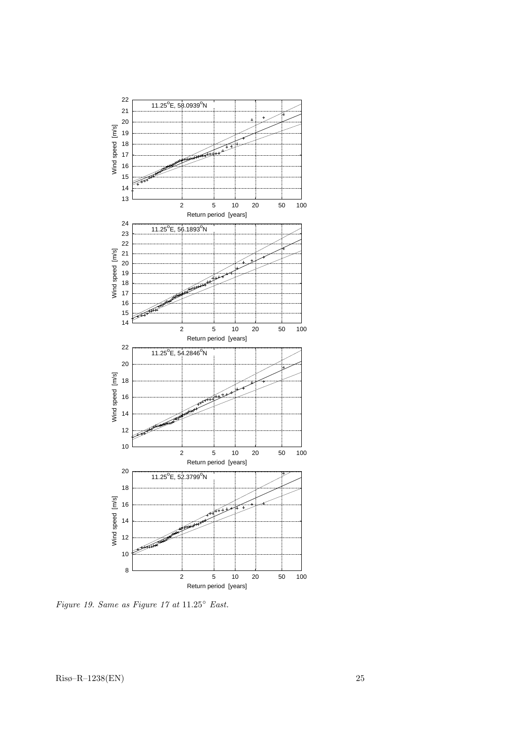

Figure 19. Same as Figure 17 at  $11.25^{\circ}$  East.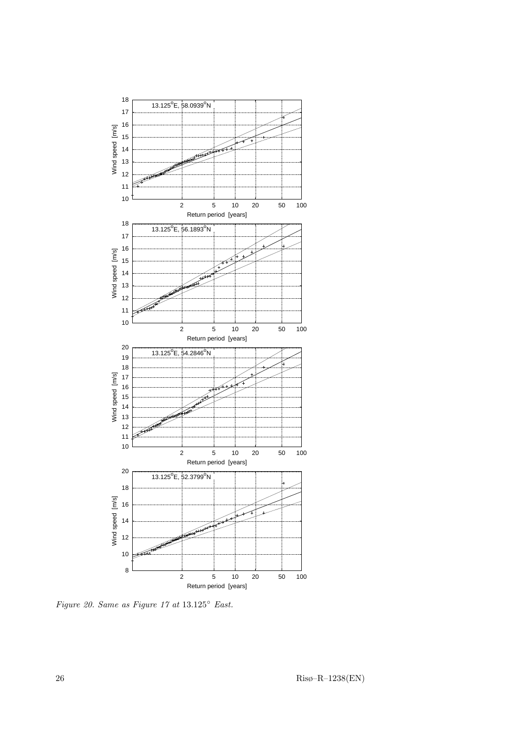

Figure 20. Same as Figure 17 at  $13.125^{\circ}$  East.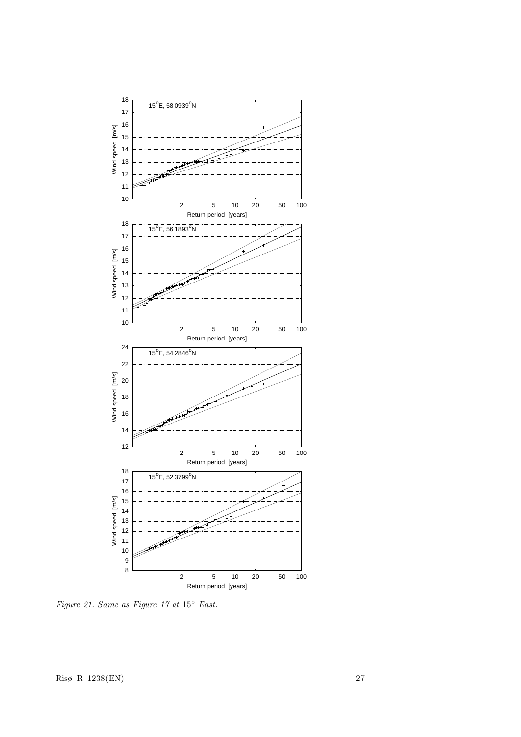

Figure 21. Same as Figure 17 at  $15^{\circ}$  East.